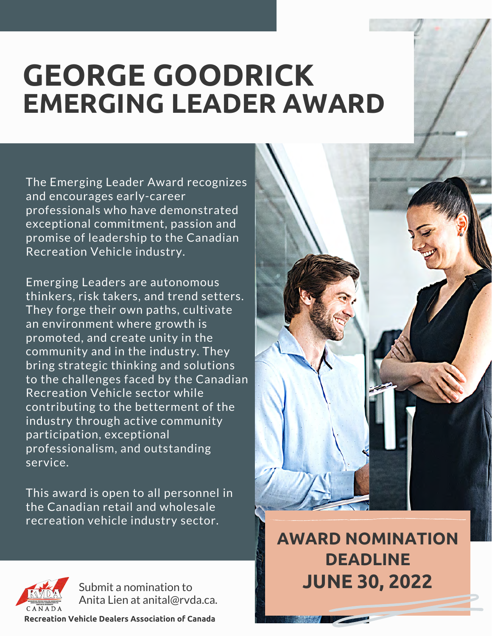# **GEORGE GOODRICK EMERGING LEADER AWARD**

The Emerging Leader Award recognizes and encourages early-career professionals who have demonstrated exceptional commitment, passion and promise of leadership to the Canadian Recreation Vehicle industry.

Emerging Leaders are autonomous thinkers, risk takers, and trend setters. They forge their own paths, cultivate an environment where growth is promoted, and create unity in the community and in the industry. They bring strategic thinking and solutions to the challenges faced by the Canadian Recreation Vehicle sector while contributing to the betterment of the industry through active community participation, exceptional professionalism, and outstanding service.

This award is open to all personnel in the Canadian retail and wholesale recreation vehicle industry sector.



**AWARD NOMINATION DEADLINE JUNE 30, 2022**



Submit a nomination to Anita Lien at anital@rvda.ca.

**Recreation Vehicle Dealers Association of Canada**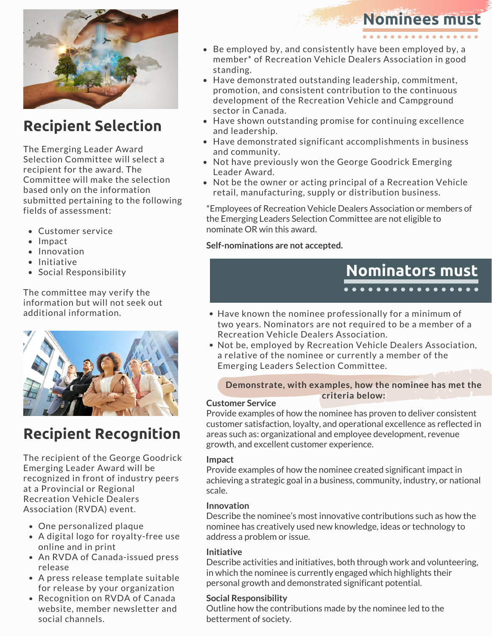

# **Recipient Selection**

The Emerging Leader Award Selection Committee will select a recipient for the award. The Committee will make the selection based only on the information submitted pertaining to the following fields of assessment:

- Customer service
- Impact
- Innovation
- $\bullet$  Initiative
- Social Responsibility

The committee may verify the information but will not seek out additional information.



# **Recipient Recognition**

The recipient of the George Goodrick Emerging Leader Award will be recognized in front of industry peers at a Provincial or Regional Recreation Vehicle Dealers Association (RVDA) event.

- One personalized plaque
- A digital logo for royalty-free use online and in print
- An RVDA of Canada-issued press release
- A press release template suitable for release by your organization
- Recognition on RVDA of Canada website, member newsletter and social channels.

#### Be employed by, and consistently have been employed by, a member\* of Recreation Vehicle Dealers Association in good standing.

- Have demonstrated outstanding leadership, commitment, promotion, and consistent contribution to the continuous development of the Recreation Vehicle and Campground sector in Canada.
- Have shown outstanding promise for continuing excellence and leadership.
- Have demonstrated significant accomplishments in business and community.
- Not have previously won the George Goodrick Emerging Leader Award.
- Not be the owner or acting principal of a Recreation Vehicle retail, manufacturing, supply or distribution business.

\*Employees of Recreation Vehicle Dealers Association or members of the Emerging Leaders Selection Committee are not eligible to nominate OR win this award.

#### **Self-nominations are not accepted.**



**Nominees must**

- Have known the nominee professionally for a minimum of two years. Nominators are not required to be a member of a Recreation Vehicle Dealers Association.
- Not be, employed by Recreation Vehicle Dealers Association, a relative of the nominee or currently a member of the Emerging Leaders Selection Committee.

#### **Demonstrate, with examples, how the nominee has met the criteria below:**

#### **Customer Service**

Provide examples of how the nominee has proven to deliver consistent customer satisfaction, loyalty, and operational excellence as reflected in areas such as: organizational and employee development, revenue growth, and excellent customer experience.

#### **Impact**

Provide examples of how the nominee created significant impact in achieving a strategic goal in a business, community, industry, or national scale.

#### **Innovation**

Describe the nominee's most innovative contributions such as how the nominee has creatively used new knowledge, ideas or technology to address a problem or issue.

#### **Initiative**

Describe activities and initiatives, both through work and volunteering, in which the nominee is currently engaged which highlights their personal growth and demonstrated significant potential.

#### **Social Responsibility**

Outline how the contributions made by the nominee led to the betterment of society.